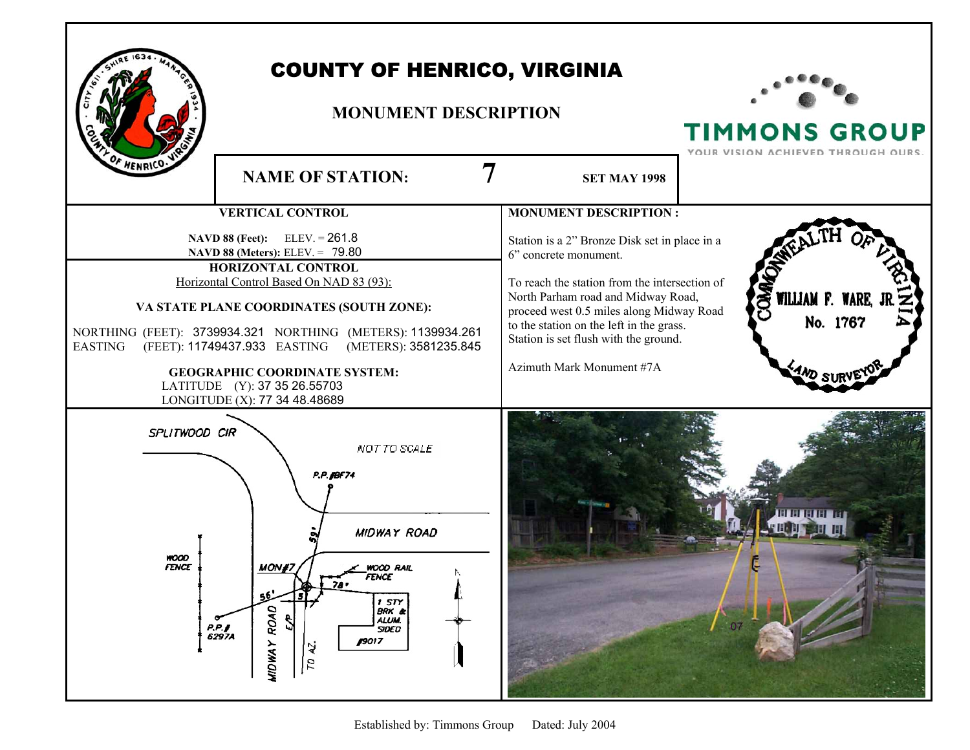